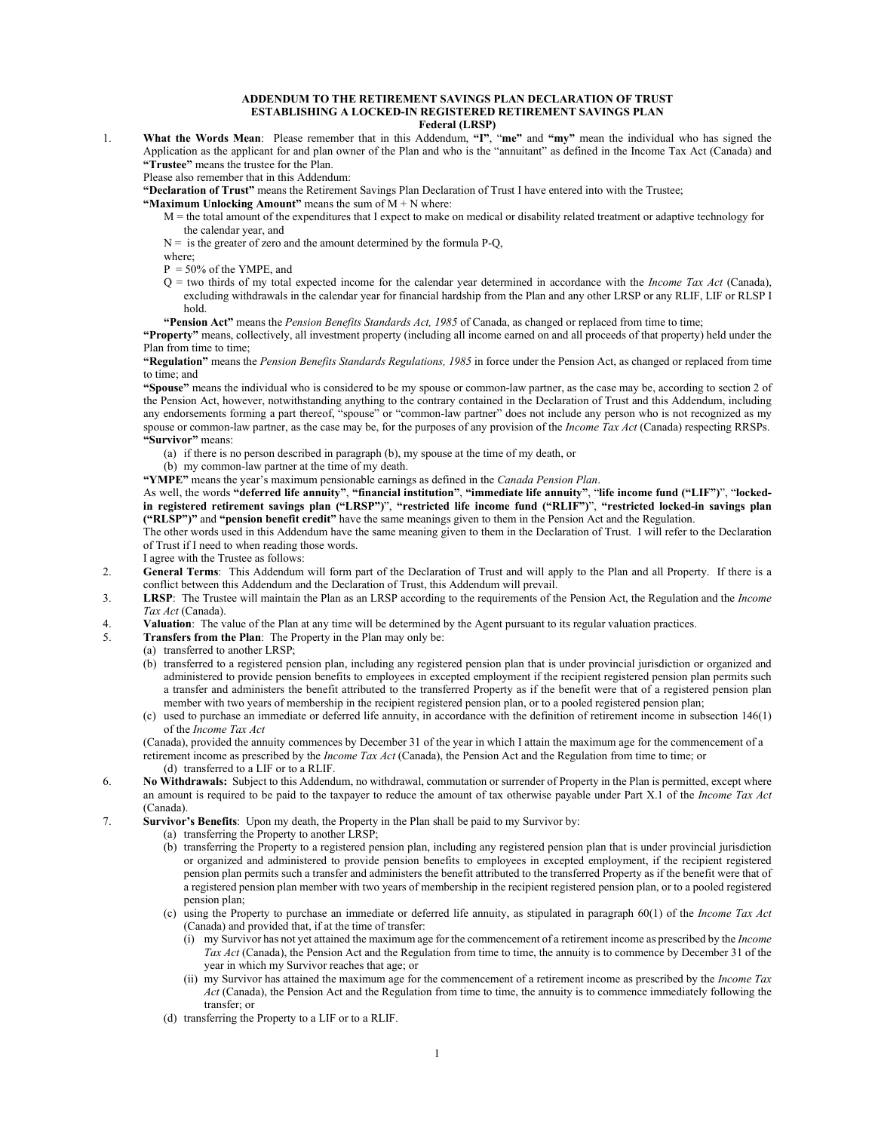## **ADDENDUM TO THE RETIREMENT SAVINGS PLAN DECLARATION OF TRUST ESTABLISHING A LOCKED-IN REGISTERED RETIREMENT SAVINGS PLAN Federal (LRSP)**

1. **What the Words Mean**: Please remember that in this Addendum, **"I"**, "**me"** and **"my"** mean the individual who has signed the Application as the applicant for and plan owner of the Plan and who is the "annuitant" as defined in the Income Tax Act (Canada) and **"Trustee"** means the trustee for the Plan.

Please also remember that in this Addendum:

**"Declaration of Trust"** means the Retirement Savings Plan Declaration of Trust I have entered into with the Trustee;

- **"Maximum Unlocking Amount"** means the sum of M + N where:
	- M = the total amount of the expenditures that I expect to make on medical or disability related treatment or adaptive technology for the calendar year, and
	- $N =$  is the greater of zero and the amount determined by the formula P-Q,

where;

- $P = 50\%$  of the YMPE, and
- Q = two thirds of my total expected income for the calendar year determined in accordance with the *Income Tax Act* (Canada), excluding withdrawals in the calendar year for financial hardship from the Plan and any other LRSP or any RLIF, LIF or RLSP I hold.
- **"Pension Act"** means the *Pension Benefits Standards Act, 1985* of Canada, as changed or replaced from time to time;

**"Property"** means, collectively, all investment property (including all income earned on and all proceeds of that property) held under the Plan from time to time;

**"Regulation"** means the *Pension Benefits Standards Regulations, 1985* in force under the Pension Act, as changed or replaced from time to time; and

**"Spouse"** means the individual who is considered to be my spouse or common-law partner, as the case may be, according to section 2 of the Pension Act, however, notwithstanding anything to the contrary contained in the Declaration of Trust and this Addendum, including any endorsements forming a part thereof, "spouse" or "common-law partner" does not include any person who is not recognized as my spouse or common-law partner, as the case may be, for the purposes of any provision of the *Income Tax Act* (Canada) respecting RRSPs. **"Survivor"** means:

- (a) if there is no person described in paragraph (b), my spouse at the time of my death, or
- (b) my common-law partner at the time of my death.
- **"YMPE"** means the year's maximum pensionable earnings as defined in the *Canada Pension Plan*.

As well, the words **"deferred life annuity"**, **"financial institution"**, **"immediate life annuity"**, "**life income fund ("LIF")**", "**lockedin registered retirement savings plan ("LRSP")**", **"restricted life income fund ("RLIF")**", **"restricted locked-in savings plan ("RLSP")"** and **"pension benefit credit"** have the same meanings given to them in the Pension Act and the Regulation.

The other words used in this Addendum have the same meaning given to them in the Declaration of Trust. I will refer to the Declaration of Trust if I need to when reading those words.

I agree with the Trustee as follows:

- 2. **General Terms**: This Addendum will form part of the Declaration of Trust and will apply to the Plan and all Property. If there is a conflict between this Addendum and the Declaration of Trust, this Addendum will prevail.
- 3. **LRSP**: The Trustee will maintain the Plan as an LRSP according to the requirements of the Pension Act, the Regulation and the *Income Tax Act* (Canada).
- 4. **Valuation**: The value of the Plan at any time will be determined by the Agent pursuant to its regular valuation practices.
- 5. **Transfers from the Plan**: The Property in the Plan may only be:
	- (a) transferred to another LRSP;
		- (b) transferred to a registered pension plan, including any registered pension plan that is under provincial jurisdiction or organized and administered to provide pension benefits to employees in excepted employment if the recipient registered pension plan permits such a transfer and administers the benefit attributed to the transferred Property as if the benefit were that of a registered pension plan member with two years of membership in the recipient registered pension plan, or to a pooled registered pension plan;
		- (c) used to purchase an immediate or deferred life annuity, in accordance with the definition of retirement income in subsection 146(1) of the *Income Tax Act*

(Canada), provided the annuity commences by December 31 of the year in which I attain the maximum age for the commencement of a retirement income as prescribed by the *Income Tax Act* (Canada), the Pension Act and the Regulation from time to time; or (d) transferred to a LIF or to a RLIF.

- 6. **No Withdrawals:** Subject to this Addendum, no withdrawal, commutation or surrender of Property in the Plan is permitted, except where an amount is required to be paid to the taxpayer to reduce the amount of tax otherwise payable under Part X.1 of the *Income Tax Act* (Canada).
- 7. **Survivor's Benefits**: Upon my death, the Property in the Plan shall be paid to my Survivor by:
	- (a) transferring the Property to another LRSP;
	- (b) transferring the Property to a registered pension plan, including any registered pension plan that is under provincial jurisdiction or organized and administered to provide pension benefits to employees in excepted employment, if the recipient registered pension plan permits such a transfer and administers the benefit attributed to the transferred Property as if the benefit were that of a registered pension plan member with two years of membership in the recipient registered pension plan, or to a pooled registered pension plan;
	- (c) using the Property to purchase an immediate or deferred life annuity, as stipulated in paragraph 60(1) of the *Income Tax Act* (Canada) and provided that, if at the time of transfer:
		- (i) my Survivor has not yet attained the maximum age for the commencement of a retirement income as prescribed by the *Income Tax Act* (Canada), the Pension Act and the Regulation from time to time, the annuity is to commence by December 31 of the year in which my Survivor reaches that age; or
		- (ii) my Survivor has attained the maximum age for the commencement of a retirement income as prescribed by the *Income Tax Act* (Canada), the Pension Act and the Regulation from time to time, the annuity is to commence immediately following the transfer; or
	- (d) transferring the Property to a LIF or to a RLIF.